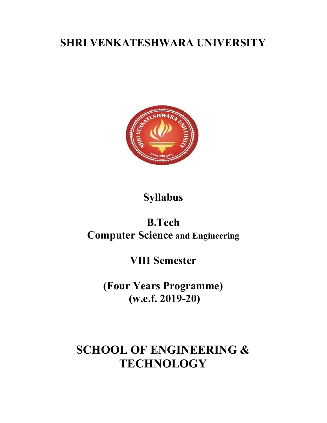# SHRI VENKATESHWARA UNIVERSITY



# Syllabus

# B.Tech Computer Science and Engineering

## VIII Semester

(Four Years Programme) (w.e.f. 2019-20)

# SCHOOL OF ENGINEERING & **TECHNOLOGY**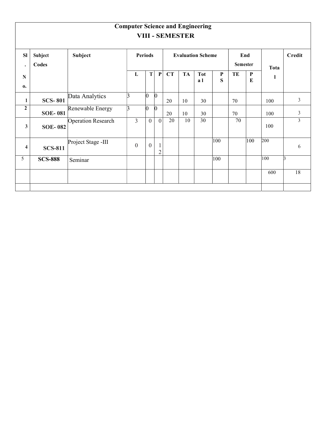|                         | <b>Computer Science and Engineering</b><br><b>VIII - SEMESTER</b> |                           |   |                                            |                |                                |    |           |                   |                   |             |                           |     |                |
|-------------------------|-------------------------------------------------------------------|---------------------------|---|--------------------------------------------|----------------|--------------------------------|----|-----------|-------------------|-------------------|-------------|---------------------------|-----|----------------|
| <b>SI</b><br>$\bullet$  | Subject<br>Codes                                                  | Subject                   |   | <b>Periods</b><br><b>Evaluation Scheme</b> |                |                                |    |           |                   | End<br>Semester   | <b>Tota</b> | Credit                    |     |                |
| $\mathbf N$<br>0.       |                                                                   |                           |   | L                                          | T              | $\mathbf{P}$                   | CT | <b>TA</b> | <b>Tot</b><br>a l | $\mathbf{P}$<br>S | TE          | $\mathbf{P}$<br>${\bf E}$ | 1   |                |
| $\mathbf{1}$            | <b>SCS-801</b>                                                    | Data Analytics            |   |                                            | n              | $\vert$ 0                      | 20 | 10        | 30                |                   | 70          |                           | 100 | $\mathfrak{Z}$ |
| $\boldsymbol{2}$        | <b>SOE-081</b>                                                    | Renewable Energy          | 3 |                                            | n              | $\bf{0}$                       | 20 | 10        | 30                |                   | 70          |                           | 100 | $\mathfrak{Z}$ |
| $\mathbf{3}$            | <b>SOE-082</b>                                                    | <b>Operation Research</b> |   | $\overline{3}$                             | $\overline{0}$ | $\overline{0}$                 | 20 | 10        | 30                |                   | 70          |                           | 100 | $\mathfrak{Z}$ |
| $\overline{\mathbf{4}}$ | <b>SCS-811</b>                                                    | Project Stage -III        |   | $\boldsymbol{0}$                           | $\overline{0}$ | $\mathbf{1}$<br>$\overline{2}$ |    |           |                   | $ 100\rangle$     |             | $ 100\rangle$             | 200 | 6              |
| 5                       | <b>SCS-888</b>                                                    | Seminar                   |   |                                            |                |                                |    |           |                   | $ 100\rangle$     |             |                           | 100 | 13             |
|                         |                                                                   |                           |   |                                            |                |                                |    |           |                   |                   |             |                           | 600 | 18             |
|                         |                                                                   |                           |   |                                            |                |                                |    |           |                   |                   |             |                           |     |                |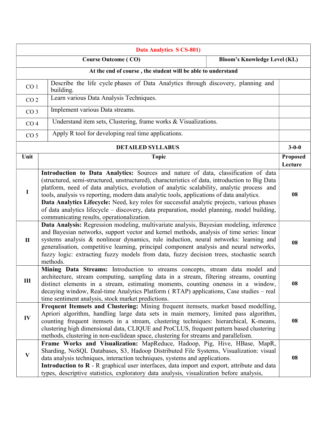| Data Analytics S CS-801)                                          |                                                                                                                                                                                                                                                                                                                                                                                                                                                                                                                                                                                                                          |                                                                                  |                            |  |  |  |  |
|-------------------------------------------------------------------|--------------------------------------------------------------------------------------------------------------------------------------------------------------------------------------------------------------------------------------------------------------------------------------------------------------------------------------------------------------------------------------------------------------------------------------------------------------------------------------------------------------------------------------------------------------------------------------------------------------------------|----------------------------------------------------------------------------------|----------------------------|--|--|--|--|
| <b>Course Outcome (CO)</b><br><b>Bloom's Knowledge Level (KL)</b> |                                                                                                                                                                                                                                                                                                                                                                                                                                                                                                                                                                                                                          |                                                                                  |                            |  |  |  |  |
|                                                                   | At the end of course, the student will be able to understand                                                                                                                                                                                                                                                                                                                                                                                                                                                                                                                                                             |                                                                                  |                            |  |  |  |  |
| CO <sub>1</sub>                                                   | building.                                                                                                                                                                                                                                                                                                                                                                                                                                                                                                                                                                                                                | Describe the life cycle phases of Data Analytics through discovery, planning and |                            |  |  |  |  |
| CO <sub>2</sub>                                                   | Learn various Data Analysis Techniques.                                                                                                                                                                                                                                                                                                                                                                                                                                                                                                                                                                                  |                                                                                  |                            |  |  |  |  |
| CO <sub>3</sub>                                                   | Implement various Data streams.                                                                                                                                                                                                                                                                                                                                                                                                                                                                                                                                                                                          |                                                                                  |                            |  |  |  |  |
| CO <sub>4</sub>                                                   | Understand item sets, Clustering, frame works & Visualizations.                                                                                                                                                                                                                                                                                                                                                                                                                                                                                                                                                          |                                                                                  |                            |  |  |  |  |
| CO <sub>5</sub>                                                   | Apply R tool for developing real time applications.                                                                                                                                                                                                                                                                                                                                                                                                                                                                                                                                                                      |                                                                                  |                            |  |  |  |  |
|                                                                   | <b>DETAILED SYLLABUS</b>                                                                                                                                                                                                                                                                                                                                                                                                                                                                                                                                                                                                 |                                                                                  | $3 - 0 - 0$                |  |  |  |  |
| Unit                                                              | <b>Topic</b>                                                                                                                                                                                                                                                                                                                                                                                                                                                                                                                                                                                                             |                                                                                  | <b>Proposed</b><br>Lecture |  |  |  |  |
| $\bf{I}$                                                          | Introduction to Data Analytics: Sources and nature of data, classification of data<br>(structured, semi-structured, unstructured), characteristics of data, introduction to Big Data<br>platform, need of data analytics, evolution of analytic scalability, analytic process and<br>tools, analysis vs reporting, modern data analytic tools, applications of data analytics.<br>Data Analytics Lifecycle: Need, key roles for successful analytic projects, various phases<br>of data analytics lifecycle – discovery, data preparation, model planning, model building,<br>communicating results, operationalization. |                                                                                  |                            |  |  |  |  |
| $\mathbf{I}$                                                      | Data Analysis: Regression modeling, multivariate analysis, Bayesian modeling, inference<br>and Bayesian networks, support vector and kernel methods, analysis of time series: linear<br>systems analysis & nonlinear dynamics, rule induction, neural networks: learning and<br>generalisation, competitive learning, principal component analysis and neural networks,<br>fuzzy logic: extracting fuzzy models from data, fuzzy decision trees, stochastic search<br>methods.                                                                                                                                           |                                                                                  |                            |  |  |  |  |
| III                                                               | Mining Data Streams: Introduction to streams concepts, stream data model and<br>architecture, stream computing, sampling data in a stream, filtering streams, counting<br>distinct elements in a stream, estimating moments, counting oneness in a window,<br>decaying window, Real-time Analytics Platform (RTAP) applications, Case studies – real<br>time sentiment analysis, stock market predictions.                                                                                                                                                                                                               |                                                                                  |                            |  |  |  |  |
| IV                                                                | Frequent Itemsets and Clustering: Mining frequent itemsets, market based modelling,<br>Apriori algorithm, handling large data sets in main memory, limited pass algorithm,<br>counting frequent itemsets in a stream, clustering techniques: hierarchical, K-means,<br>clustering high dimensional data, CLIQUE and ProCLUS, frequent pattern based clustering<br>methods, clustering in non-euclidean space, clustering for streams and parallelism.                                                                                                                                                                    |                                                                                  |                            |  |  |  |  |
| $\bf{V}$                                                          | Frame Works and Visualization: MapReduce, Hadoop, Pig, Hive, HBase, MapR,<br>Sharding, NoSQL Databases, S3, Hadoop Distributed File Systems, Visualization: visual<br>data analysis techniques, interaction techniques, systems and applications.<br>Introduction to R - R graphical user interfaces, data import and export, attribute and data<br>types, descriptive statistics, exploratory data analysis, visualization before analysis,                                                                                                                                                                             |                                                                                  |                            |  |  |  |  |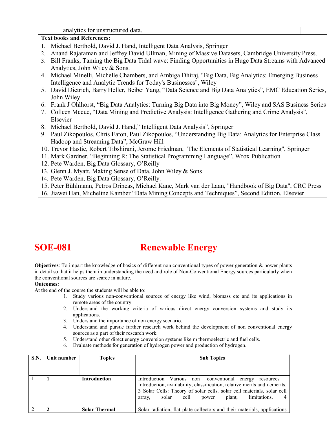|  |  |  | analytics for unstructured data. |  |
|--|--|--|----------------------------------|--|
|--|--|--|----------------------------------|--|

### Text books and References:

- 1. Michael Berthold, David J. Hand, Intelligent Data Analysis, Springer
- 2. Anand Rajaraman and Jeffrey David Ullman, Mining of Massive Datasets, Cambridge University Press.
- 3. Bill Franks, Taming the Big Data Tidal wave: Finding Opportunities in Huge Data Streams with Advanced Analytics, John Wiley & Sons.
- 4. Michael Minelli, Michelle Chambers, and Ambiga Dhiraj, "Big Data, Big Analytics: Emerging Business Intelligence and Analytic Trends for Today's Businesses", Wiley
- 5. David Dietrich, Barry Heller, Beibei Yang, "Data Science and Big Data Analytics", EMC Education Series, John Wiley
- 6. Frank J Ohlhorst, "Big Data Analytics: Turning Big Data into Big Money", Wiley and SAS Business Series
- 7. Colleen Mccue, "Data Mining and Predictive Analysis: Intelligence Gathering and Crime Analysis", Elsevier
- 8. Michael Berthold, David J. Hand," Intelligent Data Analysis", Springer
- 9. Paul Zikopoulos, Chris Eaton, Paul Zikopoulos, "Understanding Big Data: Analytics for Enterprise Class Hadoop and Streaming Data", McGraw Hill
- 10. Trevor Hastie, Robert Tibshirani, Jerome Friedman, "The Elements of Statistical Learning", Springer
- 11. Mark Gardner, "Beginning R: The Statistical Programming Language", Wrox Publication
- 12. Pete Warden, Big Data Glossary, O'Reilly
- 13. Glenn J. Myatt, Making Sense of Data, John Wiley & Sons
- 14. Pete Warden, Big Data Glossary, O'Reilly.
- 15. Peter Bühlmann, Petros Drineas, Michael Kane, Mark van der Laan, "Handbook of Big Data", CRC Press
- 16. Jiawei Han, Micheline Kamber "Data Mining Concepts and Techniques", Second Edition, Elsevier

### SOE-081 Renewable Energy

Objectives: To impart the knowledge of basics of different non conventional types of power generation & power plants in detail so that it helps them in understanding the need and role of Non-Conventional Energy sources particularly when the conventional sources are scarce in nature.

### Outcomes:

At the end of the course the students will be able to:

- 1. Study various non-conventional sources of energy like wind, biomass etc and its applications in remote areas of the country.
- 2. Understand the working criteria of various direct energy conversion systems and study its applications.
- 3. Understand the importance of non energy scenario.
- 4. Understand and pursue further research work behind the development of non conventional energy sources as a part of their research work.
- 5. Understand other direct energy conversion systems like m thermoelectric and fuel cells.
- 6. Evaluate methods for generation of hydrogen power and production of hydrogen.

| S.N. | Unit number | <b>Topics</b>        | <b>Sub Topics</b>                                                                                                                                                                                                                                                               |
|------|-------------|----------------------|---------------------------------------------------------------------------------------------------------------------------------------------------------------------------------------------------------------------------------------------------------------------------------|
|      |             |                      |                                                                                                                                                                                                                                                                                 |
|      |             | <b>Introduction</b>  | Introduction Various non -conventional energy<br>resources<br>Introduction, availability, classification, relative merits and demerits.<br>3 Solar Cells: Theory of solar cells. solar cell materials, solar cell<br>cell<br>limitations.<br>plant,<br>solar<br>power<br>array, |
|      |             | <b>Solar Thermal</b> | Solar radiation, flat plate collectors and their materials, applications                                                                                                                                                                                                        |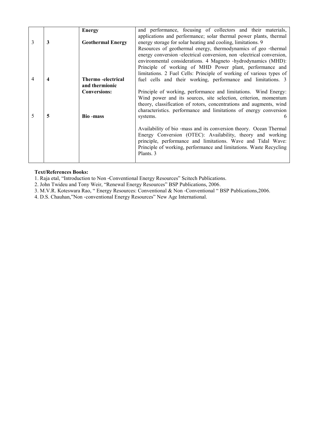| 3 | 3 | <b>Energy</b><br><b>Geothermal Energy</b>                    | and performance, focusing of collectors and their materials,<br>applications and performance; solar thermal power plants, thermal<br>energy storage for solar heating and cooling, limitations. 9<br>Resources of geothermal energy, thermodynamics of geo-thermal<br>energy conversion -electrical conversion, non -electrical conversion,<br>environmental considerations. 4 Magneto -hydrodynamics (MHD):<br>Principle of working of MHD Power plant, performance and<br>limitations. 2 Fuel Cells: Principle of working of various types of |
|---|---|--------------------------------------------------------------|-------------------------------------------------------------------------------------------------------------------------------------------------------------------------------------------------------------------------------------------------------------------------------------------------------------------------------------------------------------------------------------------------------------------------------------------------------------------------------------------------------------------------------------------------|
|   |   | Thermo - electrical<br>and thermionic<br><b>Conversions:</b> | fuel cells and their working, performance and limitations. 3<br>Principle of working, performance and limitations. Wind Energy:<br>Wind power and its sources, site selection, criterion, momentum<br>theory, classification of rotors, concentrations and augments, wind<br>characteristics. performance and limitations of energy conversion                                                                                                                                                                                                  |
|   | 5 | <b>Bio-mass</b>                                              | systems.<br>Availability of bio -mass and its conversion theory. Ocean Thermal<br>Energy Conversion (OTEC): Availability, theory and working<br>principle, performance and limitations. Wave and Tidal Wave:<br>Principle of working, performance and limitations. Waste Recycling<br>Plants. 3                                                                                                                                                                                                                                                 |

#### Text/References Books:

1. Raja etal, "Introduction to Non ‐Conventional Energy Resources" Scitech Publications.

- 2. John Twideu and Tony Weir, "Renewal Energy Resources" BSP Publications, 2006.
- 3. M.V.R. Koteswara Rao, " Energy Resources: Conventional & Non ‐Conventional " BSP Publications,2006.

4. D.S. Chauhan,"Non ‐conventional Energy Resources" New Age International.